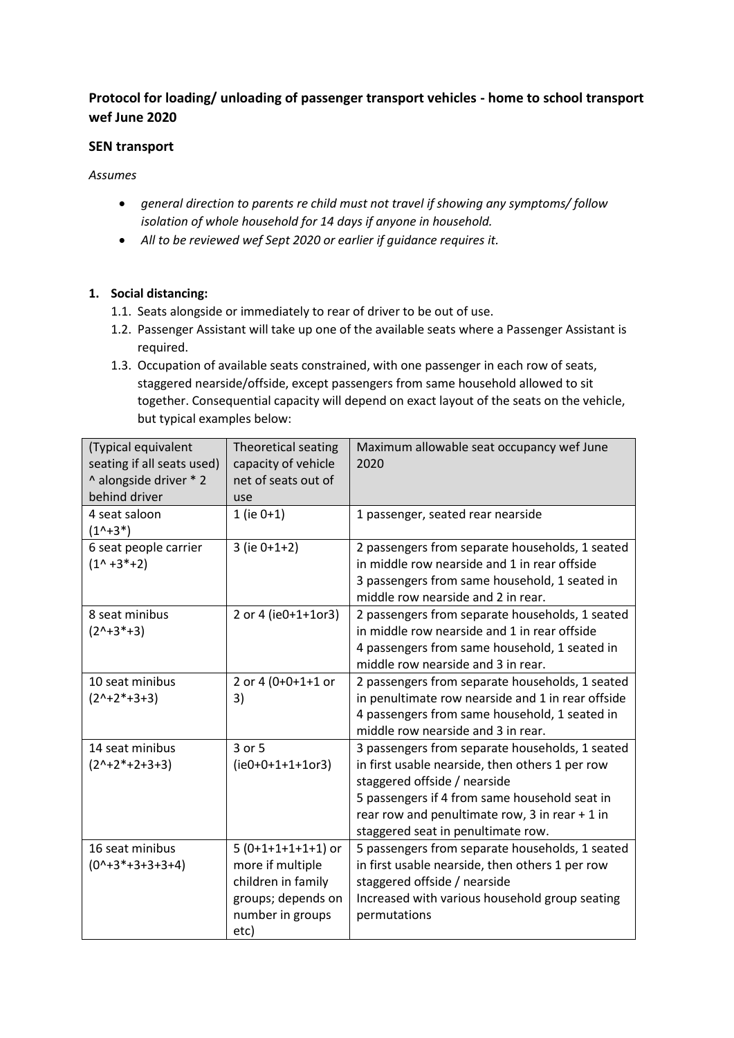# **Protocol for loading/ unloading of passenger transport vehicles - home to school transport wef June 2020**

## **SEN transport**

*Assumes* 

- *general direction to parents re child must not travel if showing any symptoms/ follow isolation of whole household for 14 days if anyone in household.*
- *All to be reviewed wef Sept 2020 or earlier if guidance requires it.*

## **1. Social distancing:**

- 1.1. Seats alongside or immediately to rear of driver to be out of use.
- 1.2. Passenger Assistant will take up one of the available seats where a Passenger Assistant is required.
- 1.3. Occupation of available seats constrained, with one passenger in each row of seats, staggered nearside/offside, except passengers from same household allowed to sit together. Consequential capacity will depend on exact layout of the seats on the vehicle, but typical examples below:

| (Typical equivalent        | Theoretical seating | Maximum allowable seat occupancy wef June         |
|----------------------------|---------------------|---------------------------------------------------|
| seating if all seats used) | capacity of vehicle | 2020                                              |
| ^ alongside driver * 2     | net of seats out of |                                                   |
| behind driver              | use                 |                                                   |
| 4 seat saloon              | $1$ (ie $0+1$ )     | 1 passenger, seated rear nearside                 |
| $(1^x+3^x)$                |                     |                                                   |
| 6 seat people carrier      | $3$ (ie $0+1+2$ )   | 2 passengers from separate households, 1 seated   |
| $(1^x + 3^x + 2)$          |                     | in middle row nearside and 1 in rear offside      |
|                            |                     | 3 passengers from same household, 1 seated in     |
|                            |                     | middle row nearside and 2 in rear.                |
| 8 seat minibus             | 2 or 4 (ie0+1+1or3) | 2 passengers from separate households, 1 seated   |
| $(2^{n+3*+3})$             |                     | in middle row nearside and 1 in rear offside      |
|                            |                     | 4 passengers from same household, 1 seated in     |
|                            |                     | middle row nearside and 3 in rear.                |
| 10 seat minibus            | 2 or 4 (0+0+1+1 or  | 2 passengers from separate households, 1 seated   |
| $(2^{n+2*+3+3})$           | 3)                  | in penultimate row nearside and 1 in rear offside |
|                            |                     | 4 passengers from same household, 1 seated in     |
|                            |                     | middle row nearside and 3 in rear.                |
| 14 seat minibus            | 3 or 5              | 3 passengers from separate households, 1 seated   |
| $(2^{n}+2^{n}+2+3+3)$      | $(ie0+0+1+1+10r3)$  | in first usable nearside, then others 1 per row   |
|                            |                     | staggered offside / nearside                      |
|                            |                     | 5 passengers if 4 from same household seat in     |
|                            |                     | rear row and penultimate row, 3 in rear $+1$ in   |
|                            |                     | staggered seat in penultimate row.                |
| 16 seat minibus            | $5(0+1+1+1+1)$ or   | 5 passengers from separate households, 1 seated   |
| $(01+3*+3+3+3+4)$          | more if multiple    | in first usable nearside, then others 1 per row   |
|                            | children in family  | staggered offside / nearside                      |
|                            | groups; depends on  | Increased with various household group seating    |
|                            | number in groups    | permutations                                      |
|                            | etc)                |                                                   |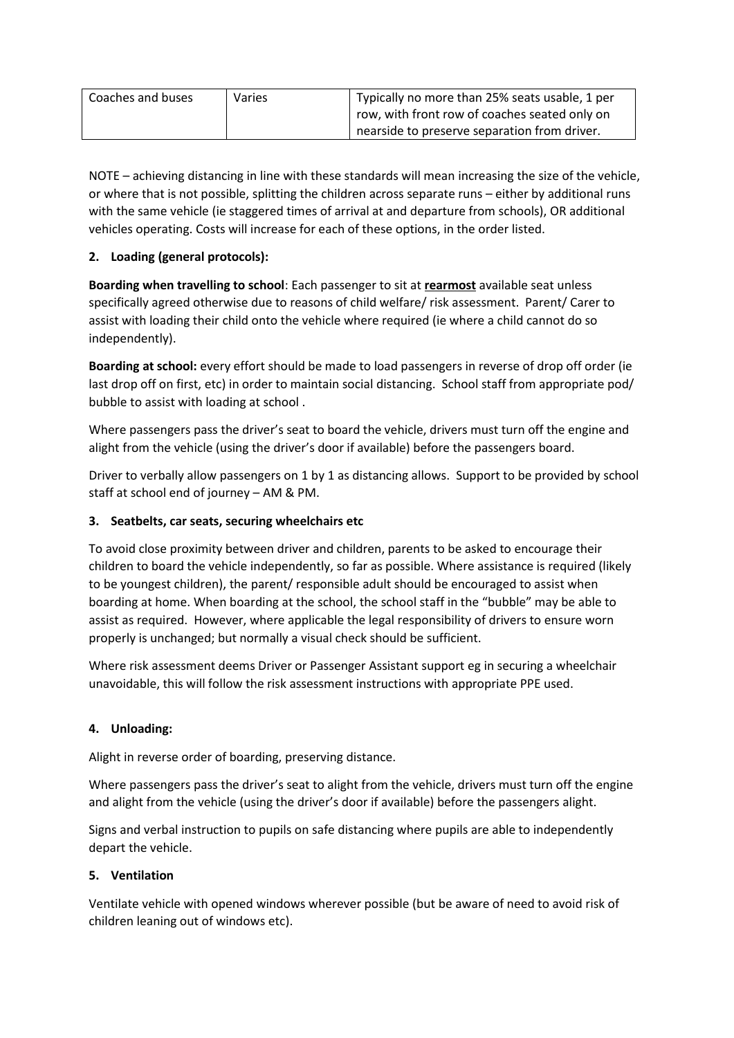| Coaches and buses | Varies | Typically no more than 25% seats usable, 1 per |
|-------------------|--------|------------------------------------------------|
|                   |        | row, with front row of coaches seated only on  |
|                   |        | nearside to preserve separation from driver.   |

NOTE – achieving distancing in line with these standards will mean increasing the size of the vehicle, or where that is not possible, splitting the children across separate runs – either by additional runs with the same vehicle (ie staggered times of arrival at and departure from schools), OR additional vehicles operating. Costs will increase for each of these options, in the order listed.

## **2. Loading (general protocols):**

**Boarding when travelling to school**: Each passenger to sit at **rearmost** available seat unless specifically agreed otherwise due to reasons of child welfare/ risk assessment. Parent/ Carer to assist with loading their child onto the vehicle where required (ie where a child cannot do so independently).

**Boarding at school:** every effort should be made to load passengers in reverse of drop off order (ie last drop off on first, etc) in order to maintain social distancing. School staff from appropriate pod/ bubble to assist with loading at school .

Where passengers pass the driver's seat to board the vehicle, drivers must turn off the engine and alight from the vehicle (using the driver's door if available) before the passengers board.

Driver to verbally allow passengers on 1 by 1 as distancing allows. Support to be provided by school staff at school end of journey – AM & PM.

## **3. Seatbelts, car seats, securing wheelchairs etc**

To avoid close proximity between driver and children, parents to be asked to encourage their children to board the vehicle independently, so far as possible. Where assistance is required (likely to be youngest children), the parent/ responsible adult should be encouraged to assist when boarding at home. When boarding at the school, the school staff in the "bubble" may be able to assist as required. However, where applicable the legal responsibility of drivers to ensure worn properly is unchanged; but normally a visual check should be sufficient.

Where risk assessment deems Driver or Passenger Assistant support eg in securing a wheelchair unavoidable, this will follow the risk assessment instructions with appropriate PPE used.

## **4. Unloading:**

Alight in reverse order of boarding, preserving distance.

Where passengers pass the driver's seat to alight from the vehicle, drivers must turn off the engine and alight from the vehicle (using the driver's door if available) before the passengers alight.

Signs and verbal instruction to pupils on safe distancing where pupils are able to independently depart the vehicle.

## **5. Ventilation**

Ventilate vehicle with opened windows wherever possible (but be aware of need to avoid risk of children leaning out of windows etc).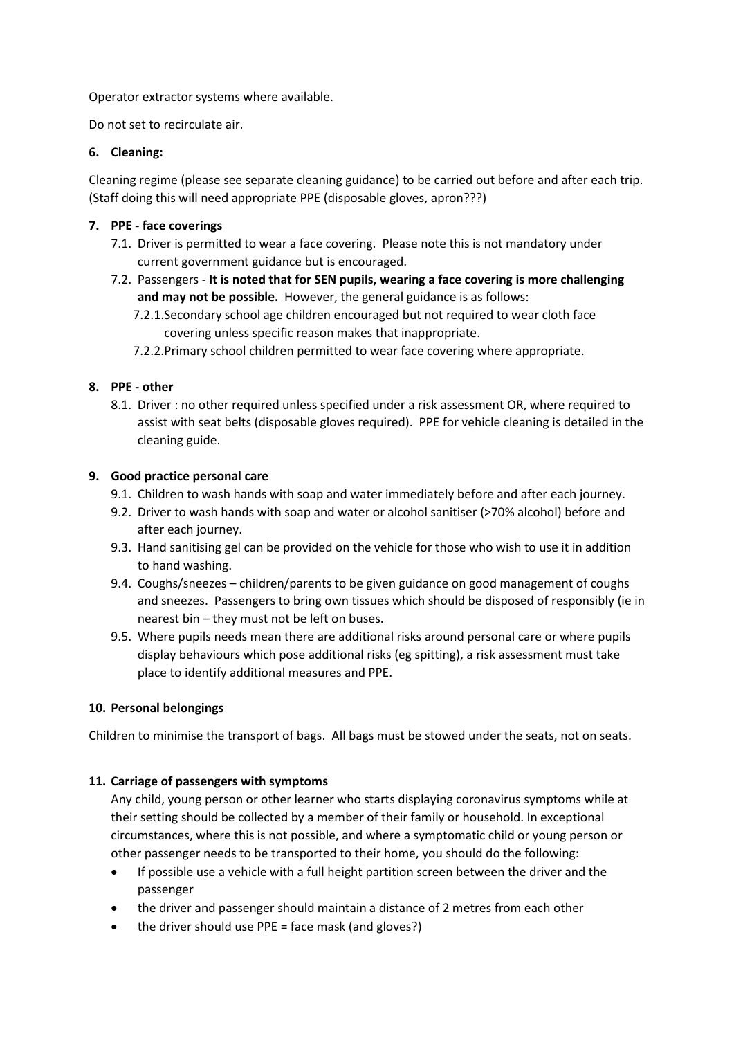Operator extractor systems where available.

Do not set to recirculate air.

## **6. Cleaning:**

Cleaning regime (please see separate cleaning guidance) to be carried out before and after each trip. (Staff doing this will need appropriate PPE (disposable gloves, apron???)

#### **7. PPE - face coverings**

- 7.1. Driver is permitted to wear a face covering. Please note this is not mandatory under current government guidance but is encouraged.
- 7.2. Passengers **It is noted that for SEN pupils, wearing a face covering is more challenging and may not be possible.** However, the general guidance is as follows:
	- 7.2.1.Secondary school age children encouraged but not required to wear cloth face covering unless specific reason makes that inappropriate.
	- 7.2.2.Primary school children permitted to wear face covering where appropriate.

#### **8. PPE - other**

8.1. Driver : no other required unless specified under a risk assessment OR, where required to assist with seat belts (disposable gloves required). PPE for vehicle cleaning is detailed in the cleaning guide.

#### **9. Good practice personal care**

- 9.1. Children to wash hands with soap and water immediately before and after each journey.
- 9.2. Driver to wash hands with soap and water or alcohol sanitiser (>70% alcohol) before and after each journey.
- 9.3. Hand sanitising gel can be provided on the vehicle for those who wish to use it in addition to hand washing.
- 9.4. Coughs/sneezes children/parents to be given guidance on good management of coughs and sneezes. Passengers to bring own tissues which should be disposed of responsibly (ie in nearest bin – they must not be left on buses.
- 9.5. Where pupils needs mean there are additional risks around personal care or where pupils display behaviours which pose additional risks (eg spitting), a risk assessment must take place to identify additional measures and PPE.

## **10. Personal belongings**

Children to minimise the transport of bags. All bags must be stowed under the seats, not on seats.

#### **11. Carriage of passengers with symptoms**

Any child, young person or other learner who starts displaying coronavirus symptoms while at their setting should be collected by a member of their family or household. In exceptional circumstances, where this is not possible, and where a symptomatic child or young person or other passenger needs to be transported to their home, you should do the following:

- If possible use a vehicle with a full height partition screen between the driver and the passenger
- the driver and passenger should maintain a distance of 2 metres from each other
- the driver should use PPE = face mask (and gloves?)